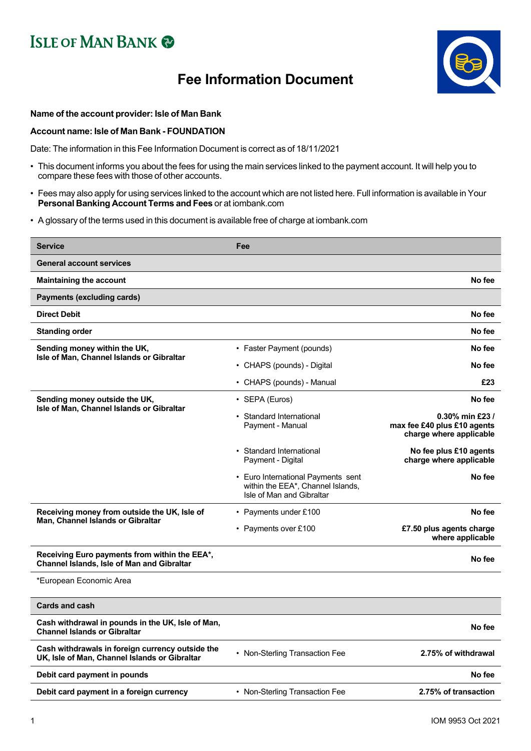## **ISLE OF MAN BANK @**

## **Fee Information Document**



## **Name of the account provider: Isle of Man Bank**

## **Account name: Isle of Man Bank - FOUNDATION**

Date: The information in this Fee Information Document is correct as of 18/11/2021

- This document informs you about the fees for using the main services linked to the payment account. It will help you to compare these fees with those of other accounts.
- Fees may also apply for using services linked to the account which are not listed here. Full information is available in Your **Personal Banking Account Terms and Fees** or at iombank.com
- A glossary of the terms used in this document is available free of charge at iombank.com

| <b>Service</b>                                                                                     | Fee                                                                                                  |                                                                           |
|----------------------------------------------------------------------------------------------------|------------------------------------------------------------------------------------------------------|---------------------------------------------------------------------------|
| <b>General account services</b>                                                                    |                                                                                                      |                                                                           |
| <b>Maintaining the account</b>                                                                     |                                                                                                      | No fee                                                                    |
| <b>Payments (excluding cards)</b>                                                                  |                                                                                                      |                                                                           |
| <b>Direct Debit</b>                                                                                |                                                                                                      | No fee                                                                    |
| <b>Standing order</b>                                                                              |                                                                                                      | No fee                                                                    |
| Sending money within the UK,<br>Isle of Man, Channel Islands or Gibraltar                          | • Faster Payment (pounds)                                                                            | No fee                                                                    |
|                                                                                                    | • CHAPS (pounds) - Digital                                                                           | No fee                                                                    |
|                                                                                                    | • CHAPS (pounds) - Manual                                                                            | £23                                                                       |
| Sending money outside the UK,                                                                      | $\cdot$ SEPA (Euros)                                                                                 | No fee                                                                    |
| Isle of Man, Channel Islands or Gibraltar                                                          | • Standard International<br>Payment - Manual                                                         | 0.30% min £23 /<br>max fee £40 plus £10 agents<br>charge where applicable |
|                                                                                                    | • Standard International<br>Payment - Digital                                                        | No fee plus £10 agents<br>charge where applicable                         |
|                                                                                                    | • Euro International Payments sent<br>within the EEA*, Channel Islands,<br>Isle of Man and Gibraltar | No fee                                                                    |
| Receiving money from outside the UK, Isle of                                                       | • Payments under £100                                                                                | No fee                                                                    |
| Man, Channel Islands or Gibraltar                                                                  | • Payments over £100                                                                                 | £7.50 plus agents charge<br>where applicable                              |
| Receiving Euro payments from within the EEA*,<br><b>Channel Islands, Isle of Man and Gibraltar</b> |                                                                                                      | No fee                                                                    |
| *European Economic Area                                                                            |                                                                                                      |                                                                           |
| <b>Cards and cash</b>                                                                              |                                                                                                      |                                                                           |
| Cash withdrawal in pounds in the UK, Isle of Man,<br><b>Channel Islands or Gibraltar</b>           |                                                                                                      | No fee                                                                    |
| Cash withdrawals in foreign currency outside the<br>UK, Isle of Man, Channel Islands or Gibraltar  | • Non-Sterling Transaction Fee                                                                       | 2.75% of withdrawal                                                       |
| Debit card payment in pounds                                                                       |                                                                                                      | No fee                                                                    |
| Debit card payment in a foreign currency                                                           | • Non-Sterling Transaction Fee                                                                       | 2.75% of transaction                                                      |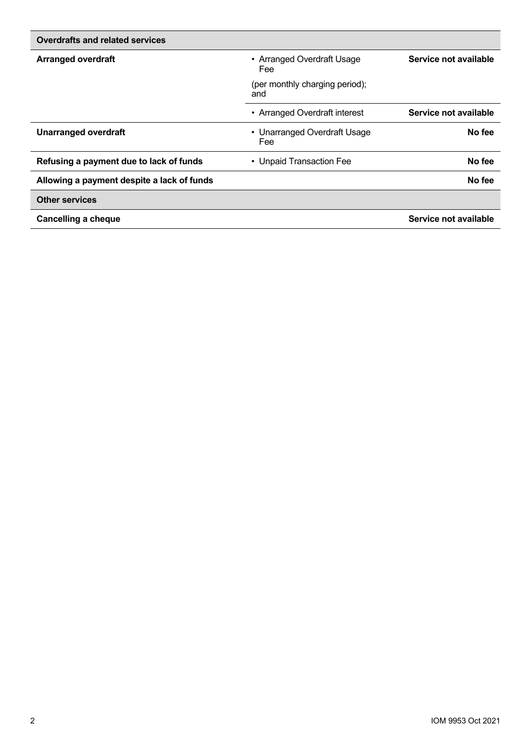| Overdrafts and related services            |                                       |                       |
|--------------------------------------------|---------------------------------------|-----------------------|
| <b>Arranged overdraft</b>                  | • Arranged Overdraft Usage<br>Fee     | Service not available |
|                                            | (per monthly charging period);<br>and |                       |
|                                            | • Arranged Overdraft interest         | Service not available |
| <b>Unarranged overdraft</b>                | • Unarranged Overdraft Usage<br>Fee   | No fee                |
| Refusing a payment due to lack of funds    | • Unpaid Transaction Fee              | No fee                |
| Allowing a payment despite a lack of funds |                                       | No fee                |
| <b>Other services</b>                      |                                       |                       |
| <b>Cancelling a cheque</b>                 |                                       | Service not available |